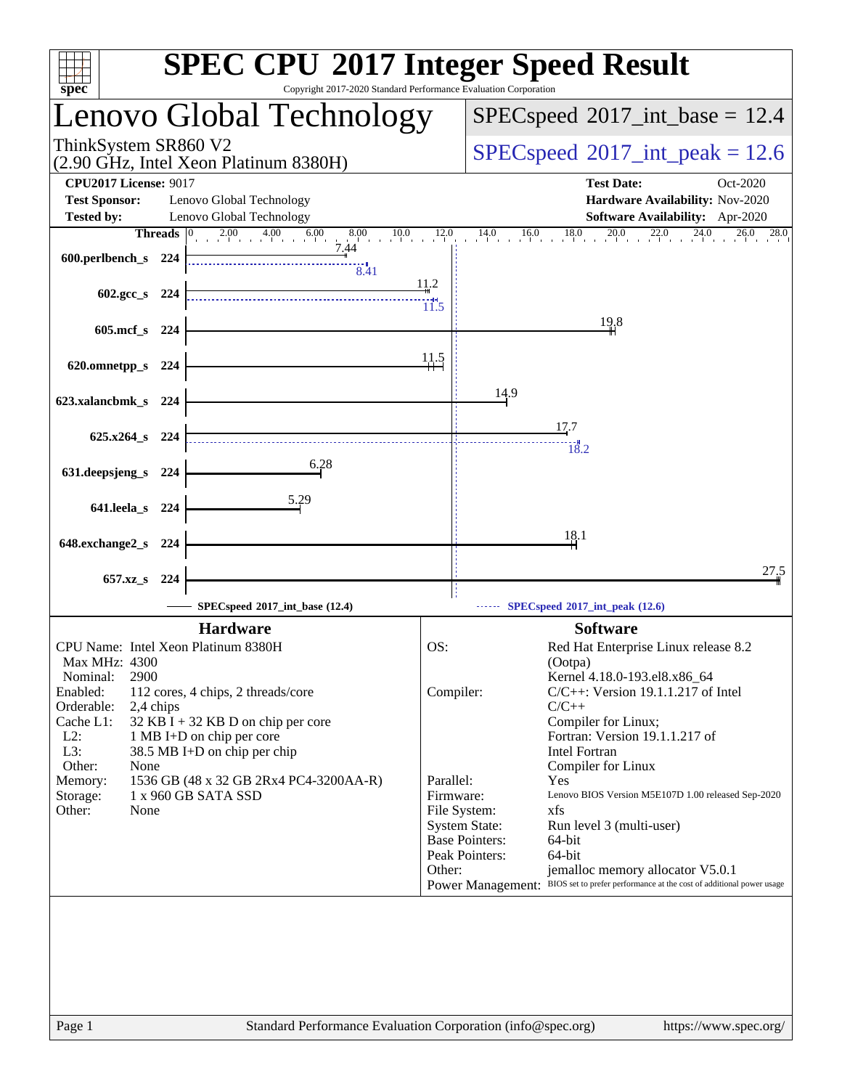| $\Box$<br>spec <sup>®</sup>                                                                                                                                                                                                                                                                                                                                                                                                             | <b>SPEC CPU®2017 Integer Speed Result</b><br>Copyright 2017-2020 Standard Performance Evaluation Corporation                                                                                                                                                                                                                                                                                                                                                                                                                                                                                                                                                  |
|-----------------------------------------------------------------------------------------------------------------------------------------------------------------------------------------------------------------------------------------------------------------------------------------------------------------------------------------------------------------------------------------------------------------------------------------|---------------------------------------------------------------------------------------------------------------------------------------------------------------------------------------------------------------------------------------------------------------------------------------------------------------------------------------------------------------------------------------------------------------------------------------------------------------------------------------------------------------------------------------------------------------------------------------------------------------------------------------------------------------|
| Lenovo Global Technology                                                                                                                                                                                                                                                                                                                                                                                                                | $SPEC speed^{\circ}2017\_int\_base = 12.4$                                                                                                                                                                                                                                                                                                                                                                                                                                                                                                                                                                                                                    |
| ThinkSystem SR860 V2<br>(2.90 GHz, Intel Xeon Platinum 8380H)                                                                                                                                                                                                                                                                                                                                                                           | $SPEC speed^{\circ}2017\_int\_peak = 12.6$                                                                                                                                                                                                                                                                                                                                                                                                                                                                                                                                                                                                                    |
| <b>CPU2017 License: 9017</b><br><b>Test Sponsor:</b><br>Lenovo Global Technology<br>Lenovo Global Technology<br><b>Tested by:</b>                                                                                                                                                                                                                                                                                                       | <b>Test Date:</b><br>Oct-2020<br>Hardware Availability: Nov-2020<br>Software Availability: Apr-2020                                                                                                                                                                                                                                                                                                                                                                                                                                                                                                                                                           |
| Threads $ 0 $<br>2.00 4.00 6.00 8.00 10.0 12.0<br>7.44<br>600.perlbench_s 224<br>$\overline{8.41}$                                                                                                                                                                                                                                                                                                                                      | 14.0<br>$16.0$ $18.0$ $20.0$ $22.0$ $24.0$ $26.0$ $28.0$                                                                                                                                                                                                                                                                                                                                                                                                                                                                                                                                                                                                      |
| 602.gcc_s 224                                                                                                                                                                                                                                                                                                                                                                                                                           | 11.2<br>11.5                                                                                                                                                                                                                                                                                                                                                                                                                                                                                                                                                                                                                                                  |
| 605.mcf_s 224                                                                                                                                                                                                                                                                                                                                                                                                                           | 19.8                                                                                                                                                                                                                                                                                                                                                                                                                                                                                                                                                                                                                                                          |
| 620.omnetpp_s 224                                                                                                                                                                                                                                                                                                                                                                                                                       | $\frac{11.5}{11}$                                                                                                                                                                                                                                                                                                                                                                                                                                                                                                                                                                                                                                             |
| 623.xalancbmk_s 224                                                                                                                                                                                                                                                                                                                                                                                                                     | 14.9<br>17.7                                                                                                                                                                                                                                                                                                                                                                                                                                                                                                                                                                                                                                                  |
| 625.x264 s 224<br>6.28                                                                                                                                                                                                                                                                                                                                                                                                                  | 18.2                                                                                                                                                                                                                                                                                                                                                                                                                                                                                                                                                                                                                                                          |
| 631.deepsjeng_s<br>224<br>5.29<br>641.leela_s 224                                                                                                                                                                                                                                                                                                                                                                                       |                                                                                                                                                                                                                                                                                                                                                                                                                                                                                                                                                                                                                                                               |
| 648.exchange2_s 224                                                                                                                                                                                                                                                                                                                                                                                                                     | 18.1                                                                                                                                                                                                                                                                                                                                                                                                                                                                                                                                                                                                                                                          |
| 657.xz <sub>_8</sub> 224                                                                                                                                                                                                                                                                                                                                                                                                                | 27.5                                                                                                                                                                                                                                                                                                                                                                                                                                                                                                                                                                                                                                                          |
| SPECspeed®2017_int_base (12.4)                                                                                                                                                                                                                                                                                                                                                                                                          | SPECspeed®2017_int_peak (12.6)                                                                                                                                                                                                                                                                                                                                                                                                                                                                                                                                                                                                                                |
| <b>Hardware</b><br>CPU Name: Intel Xeon Platinum 8380H<br>Max MHz: 4300<br>2900<br>Nominal:<br>Enabled:<br>112 cores, 4 chips, 2 threads/core<br>Orderable:<br>2,4 chips<br>Cache L1:<br>$32$ KB I + 32 KB D on chip per core<br>$L2$ :<br>1 MB I+D on chip per core<br>L3:<br>38.5 MB I+D on chip per chip<br>Other:<br>None<br>1536 GB (48 x 32 GB 2Rx4 PC4-3200AA-R)<br>Memory:<br>Storage:<br>1 x 960 GB SATA SSD<br>Other:<br>None | <b>Software</b><br>OS:<br>Red Hat Enterprise Linux release 8.2<br>(Ootpa)<br>Kernel 4.18.0-193.el8.x86_64<br>Compiler:<br>$C/C++$ : Version 19.1.1.217 of Intel<br>$C/C++$<br>Compiler for Linux;<br>Fortran: Version 19.1.1.217 of<br><b>Intel Fortran</b><br>Compiler for Linux<br>Parallel:<br>Yes<br>Lenovo BIOS Version M5E107D 1.00 released Sep-2020<br>Firmware:<br>File System:<br>xfs<br><b>System State:</b><br>Run level 3 (multi-user)<br><b>Base Pointers:</b><br>$64$ -bit<br>Peak Pointers:<br>64-bit<br>Other:<br>jemalloc memory allocator V5.0.1<br>Power Management: BIOS set to prefer performance at the cost of additional power usage |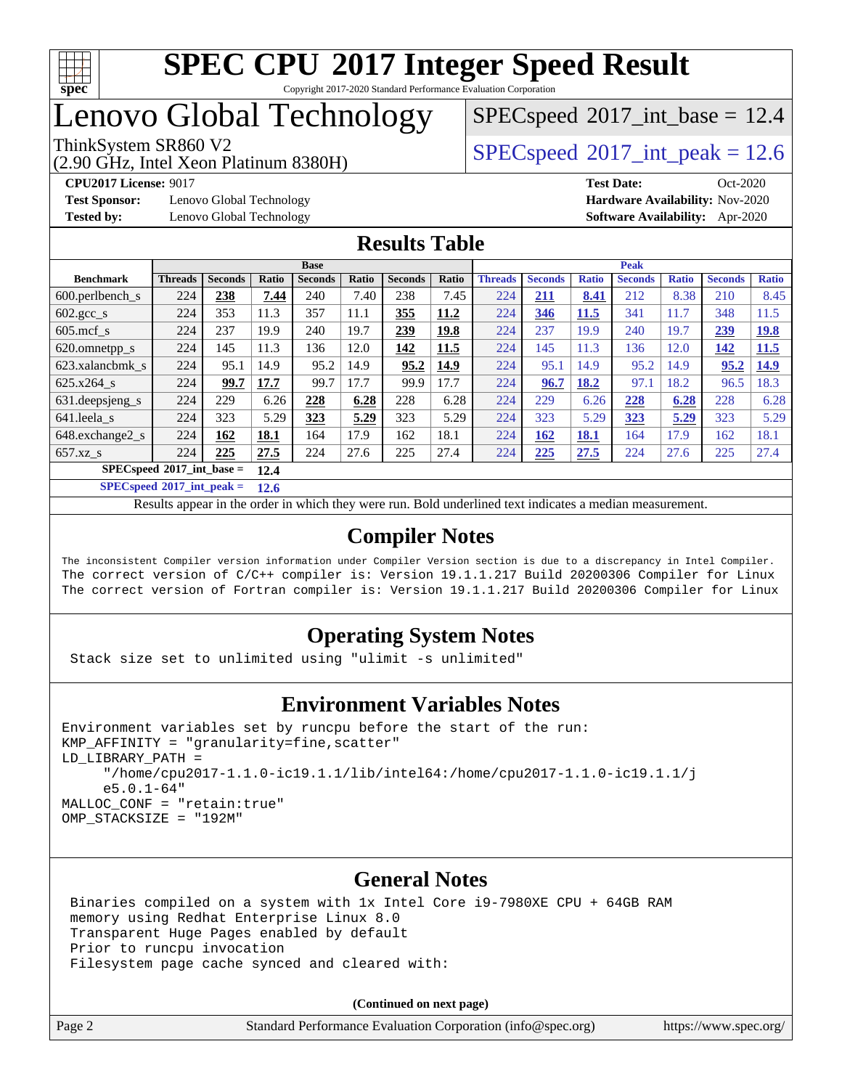

## Lenovo Global Technology

## (2.90 GHz, Intel Xeon Platinum 8380H)

 $SPECspeed^{\circ}2017\_int\_base = 12.4$  $SPECspeed^{\circ}2017\_int\_base = 12.4$ 

ThinkSystem SR860 V2  $\vert$  [SPECspeed](http://www.spec.org/auto/cpu2017/Docs/result-fields.html#SPECspeed2017intpeak)®[2017\\_int\\_peak = 1](http://www.spec.org/auto/cpu2017/Docs/result-fields.html#SPECspeed2017intpeak)2.6

**[Test Sponsor:](http://www.spec.org/auto/cpu2017/Docs/result-fields.html#TestSponsor)** Lenovo Global Technology **[Hardware Availability:](http://www.spec.org/auto/cpu2017/Docs/result-fields.html#HardwareAvailability)** Nov-2020

**[CPU2017 License:](http://www.spec.org/auto/cpu2017/Docs/result-fields.html#CPU2017License)** 9017 **[Test Date:](http://www.spec.org/auto/cpu2017/Docs/result-fields.html#TestDate)** Oct-2020 **[Tested by:](http://www.spec.org/auto/cpu2017/Docs/result-fields.html#Testedby)** Lenovo Global Technology **[Software Availability:](http://www.spec.org/auto/cpu2017/Docs/result-fields.html#SoftwareAvailability)** Apr-2020

### **[Results Table](http://www.spec.org/auto/cpu2017/Docs/result-fields.html#ResultsTable)**

| <b>Base</b>                         |                                            |                |       | <b>Peak</b>    |       |                |              |                |                |              |                |              |                |              |
|-------------------------------------|--------------------------------------------|----------------|-------|----------------|-------|----------------|--------------|----------------|----------------|--------------|----------------|--------------|----------------|--------------|
| <b>Benchmark</b>                    | <b>Threads</b>                             | <b>Seconds</b> | Ratio | <b>Seconds</b> | Ratio | <b>Seconds</b> | <b>Ratio</b> | <b>Threads</b> | <b>Seconds</b> | <b>Ratio</b> | <b>Seconds</b> | <b>Ratio</b> | <b>Seconds</b> | <b>Ratio</b> |
| $600.$ perlbench s                  | 224                                        | 238            | 7.44  | 240            | 7.40  | 238            | 7.45         | 224            | <u>211</u>     | 8.41         | 212            | 8.38         | 210            | 8.45         |
| $602 \text{.} \text{gcc}\text{.}$ s | 224                                        | 353            | 11.3  | 357            | 11.1  | 355            | 11.2         | 224            | 346            | 11.5         | 341            | 11.7         | 348            | 11.5         |
| $605$ .mcf s                        | 224                                        | 237            | 19.9  | 240            | 19.7  | 239            | <u>19.8</u>  | 224            | 237            | 19.9         | 240            | 19.7         | 239            | <u>19.8</u>  |
| 620.omnetpp_s                       | 224                                        | 145            | 11.3  | 136            | 12.0  | 142            | 11.5         | 224            | 145            | 11.3         | 136            | 12.0         | 142            | <b>11.5</b>  |
| 623.xalancbmk s                     | 224                                        | 95.1           | 14.9  | 95.2           | 14.9  | 95.2           | 14.9         | 224            | 95.1           | 14.9         | 95.2           | 14.9         | 95.2           | <b>14.9</b>  |
| $625.x264$ s                        | 224                                        | 99.7           | 17.7  | 99.7           | 17.7  | 99.9           | 17.7         | 224            | 96.7           | 18.2         | 97.1           | 18.2         | 96.5           | 18.3         |
| 631.deepsjeng_s                     | 224                                        | 229            | 6.26  | 228            | 6.28  | 228            | 6.28         | 224            | 229            | 6.26         | 228            | 6.28         | 228            | 6.28         |
| 641.leela s                         | 224                                        | 323            | 5.29  | 323            | 5.29  | 323            | 5.29         | 224            | 323            | 5.29         | 323            | 5.29         | 323            | 5.29         |
| 648.exchange2 s                     | 224                                        | 162            | 18.1  | 164            | 17.9  | 162            | 18.1         | 224            | 162            | <b>18.1</b>  | 164            | 17.9         | 162            | 18.1         |
| $657.xz$ s                          | 224                                        | 225            | 27.5  | 224            | 27.6  | 225            | 27.4         | 224            | 225            | 27.5         | 224            | 27.6         | 225            | 27.4         |
|                                     | $SPECspeed^{\circ}2017$ int base =<br>12.4 |                |       |                |       |                |              |                |                |              |                |              |                |              |

**[SPECspeed](http://www.spec.org/auto/cpu2017/Docs/result-fields.html#SPECspeed2017intpeak)[2017\\_int\\_peak =](http://www.spec.org/auto/cpu2017/Docs/result-fields.html#SPECspeed2017intpeak) 12.6**

Results appear in the [order in which they were run.](http://www.spec.org/auto/cpu2017/Docs/result-fields.html#RunOrder) Bold underlined text [indicates a median measurement](http://www.spec.org/auto/cpu2017/Docs/result-fields.html#Median).

### **[Compiler Notes](http://www.spec.org/auto/cpu2017/Docs/result-fields.html#CompilerNotes)**

The inconsistent Compiler version information under Compiler Version section is due to a discrepancy in Intel Compiler. The correct version of C/C++ compiler is: Version 19.1.1.217 Build 20200306 Compiler for Linux The correct version of Fortran compiler is: Version 19.1.1.217 Build 20200306 Compiler for Linux

### **[Operating System Notes](http://www.spec.org/auto/cpu2017/Docs/result-fields.html#OperatingSystemNotes)**

Stack size set to unlimited using "ulimit -s unlimited"

### **[Environment Variables Notes](http://www.spec.org/auto/cpu2017/Docs/result-fields.html#EnvironmentVariablesNotes)**

```
Environment variables set by runcpu before the start of the run:
KMP AFFINITY = "granularity=fine, scatter"
LD_LIBRARY_PATH =
      "/home/cpu2017-1.1.0-ic19.1.1/lib/intel64:/home/cpu2017-1.1.0-ic19.1.1/j
      e5.0.1-64"
MALLOC_CONF = "retain:true"
OMP_STACKSIZE = "192M"
```
### **[General Notes](http://www.spec.org/auto/cpu2017/Docs/result-fields.html#GeneralNotes)**

 Binaries compiled on a system with 1x Intel Core i9-7980XE CPU + 64GB RAM memory using Redhat Enterprise Linux 8.0 Transparent Huge Pages enabled by default Prior to runcpu invocation Filesystem page cache synced and cleared with:

**(Continued on next page)**

| Page 2 | Standard Performance Evaluation Corporation (info@spec.org) |  | https://www.spec.org/ |
|--------|-------------------------------------------------------------|--|-----------------------|
|--------|-------------------------------------------------------------|--|-----------------------|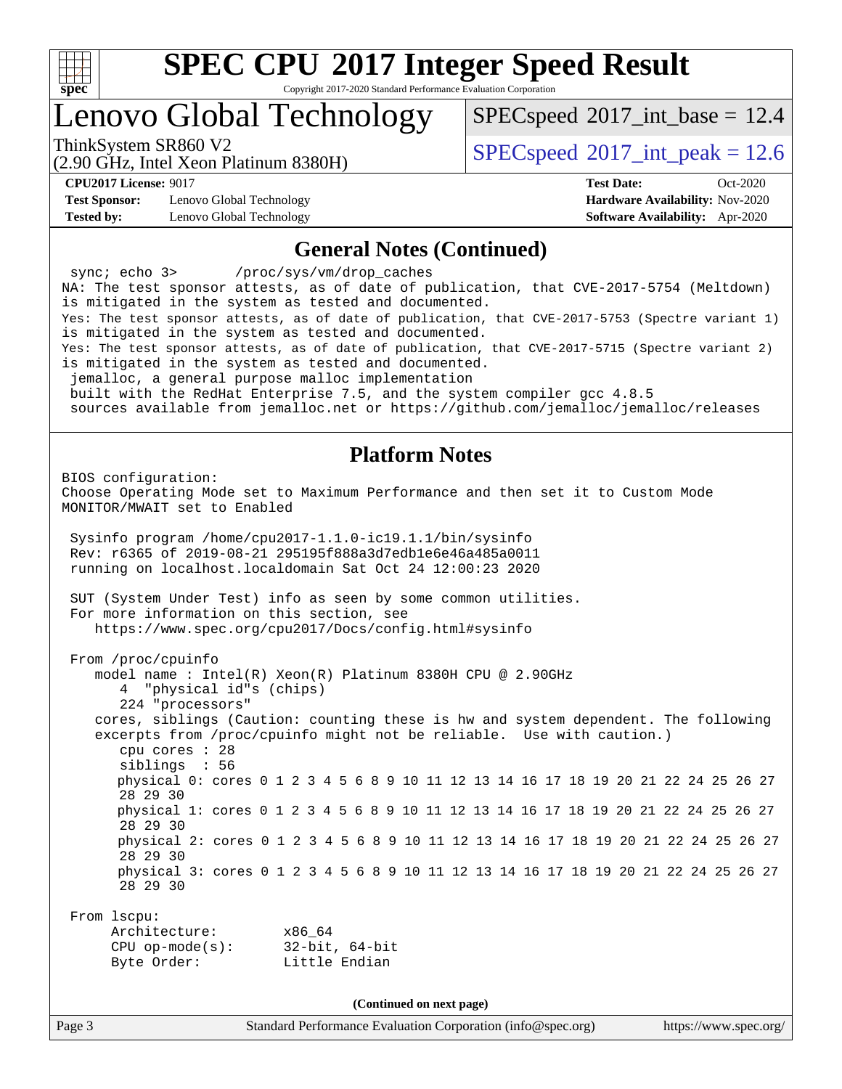

Copyright 2017-2020 Standard Performance Evaluation Corporation

## Lenovo Global Technology

 $SPECspeed^{\circ}2017\_int\_base = 12.4$  $SPECspeed^{\circ}2017\_int\_base = 12.4$ 

(2.90 GHz, Intel Xeon Platinum 8380H)

ThinkSystem SR860 V2  $\vert$  [SPECspeed](http://www.spec.org/auto/cpu2017/Docs/result-fields.html#SPECspeed2017intpeak)®[2017\\_int\\_peak = 1](http://www.spec.org/auto/cpu2017/Docs/result-fields.html#SPECspeed2017intpeak)2.6

**[Test Sponsor:](http://www.spec.org/auto/cpu2017/Docs/result-fields.html#TestSponsor)** Lenovo Global Technology **[Hardware Availability:](http://www.spec.org/auto/cpu2017/Docs/result-fields.html#HardwareAvailability)** Nov-2020 **[Tested by:](http://www.spec.org/auto/cpu2017/Docs/result-fields.html#Testedby)** Lenovo Global Technology **[Software Availability:](http://www.spec.org/auto/cpu2017/Docs/result-fields.html#SoftwareAvailability)** Apr-2020

**[CPU2017 License:](http://www.spec.org/auto/cpu2017/Docs/result-fields.html#CPU2017License)** 9017 **[Test Date:](http://www.spec.org/auto/cpu2017/Docs/result-fields.html#TestDate)** Oct-2020

### **[General Notes \(Continued\)](http://www.spec.org/auto/cpu2017/Docs/result-fields.html#GeneralNotes)**

Page 3 Standard Performance Evaluation Corporation [\(info@spec.org\)](mailto:info@spec.org) <https://www.spec.org/> sync; echo 3> /proc/sys/vm/drop\_caches NA: The test sponsor attests, as of date of publication, that CVE-2017-5754 (Meltdown) is mitigated in the system as tested and documented. Yes: The test sponsor attests, as of date of publication, that CVE-2017-5753 (Spectre variant 1) is mitigated in the system as tested and documented. Yes: The test sponsor attests, as of date of publication, that CVE-2017-5715 (Spectre variant 2) is mitigated in the system as tested and documented. jemalloc, a general purpose malloc implementation built with the RedHat Enterprise 7.5, and the system compiler gcc 4.8.5 sources available from jemalloc.net or<https://github.com/jemalloc/jemalloc/releases> **[Platform Notes](http://www.spec.org/auto/cpu2017/Docs/result-fields.html#PlatformNotes)** BIOS configuration: Choose Operating Mode set to Maximum Performance and then set it to Custom Mode MONITOR/MWAIT set to Enabled Sysinfo program /home/cpu2017-1.1.0-ic19.1.1/bin/sysinfo Rev: r6365 of 2019-08-21 295195f888a3d7edb1e6e46a485a0011 running on localhost.localdomain Sat Oct 24 12:00:23 2020 SUT (System Under Test) info as seen by some common utilities. For more information on this section, see <https://www.spec.org/cpu2017/Docs/config.html#sysinfo> From /proc/cpuinfo model name : Intel(R) Xeon(R) Platinum 8380H CPU @ 2.90GHz 4 "physical id"s (chips) 224 "processors" cores, siblings (Caution: counting these is hw and system dependent. The following excerpts from /proc/cpuinfo might not be reliable. Use with caution.) cpu cores : 28 siblings : 56 physical 0: cores 0 1 2 3 4 5 6 8 9 10 11 12 13 14 16 17 18 19 20 21 22 24 25 26 27 28 29 30 physical 1: cores 0 1 2 3 4 5 6 8 9 10 11 12 13 14 16 17 18 19 20 21 22 24 25 26 27 28 29 30 physical 2: cores 0 1 2 3 4 5 6 8 9 10 11 12 13 14 16 17 18 19 20 21 22 24 25 26 27 28 29 30 physical 3: cores 0 1 2 3 4 5 6 8 9 10 11 12 13 14 16 17 18 19 20 21 22 24 25 26 27 28 29 30 From lscpu: Architecture: x86\_64 CPU op-mode(s): 32-bit, 64-bit Byte Order: Little Endian **(Continued on next page)**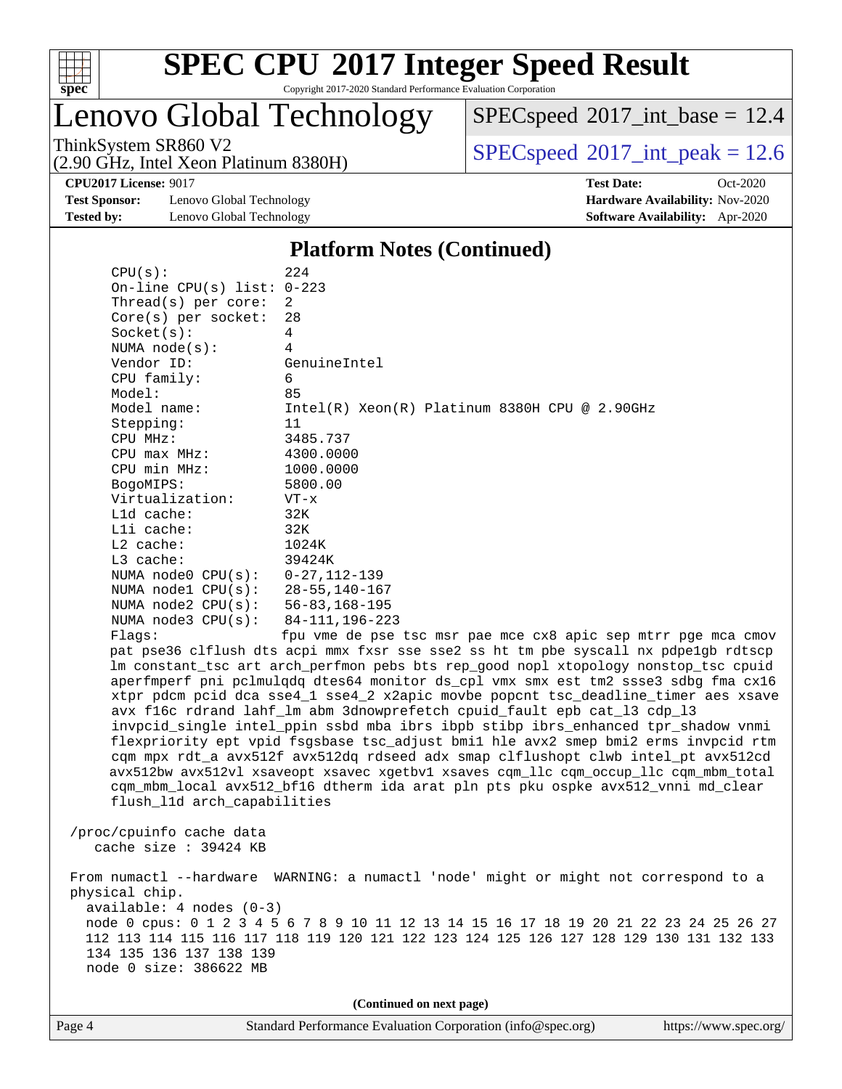

Copyright 2017-2020 Standard Performance Evaluation Corporation

Lenovo Global Technology

 $SPECspeed^{\circledcirc}2017\_int\_base = 12.4$  $SPECspeed^{\circledcirc}2017\_int\_base = 12.4$ 

(2.90 GHz, Intel Xeon Platinum 8380H)

ThinkSystem SR860 V2<br>  $\begin{array}{c}\n\text{SPEC speed} \textcirc 2017\_int\_peak = 12.6 \\
\text{SPEC speed} \textcirc 2017\_int\_peak = 12.6\n\end{array}$ 

**[Test Sponsor:](http://www.spec.org/auto/cpu2017/Docs/result-fields.html#TestSponsor)** Lenovo Global Technology **[Hardware Availability:](http://www.spec.org/auto/cpu2017/Docs/result-fields.html#HardwareAvailability)** Nov-2020 **[Tested by:](http://www.spec.org/auto/cpu2017/Docs/result-fields.html#Testedby)** Lenovo Global Technology **[Software Availability:](http://www.spec.org/auto/cpu2017/Docs/result-fields.html#SoftwareAvailability)** Apr-2020

**[CPU2017 License:](http://www.spec.org/auto/cpu2017/Docs/result-fields.html#CPU2017License)** 9017 **[Test Date:](http://www.spec.org/auto/cpu2017/Docs/result-fields.html#TestDate)** Oct-2020

### **[Platform Notes \(Continued\)](http://www.spec.org/auto/cpu2017/Docs/result-fields.html#PlatformNotes)**

| CPU(s):                          | 224                                                                                  |
|----------------------------------|--------------------------------------------------------------------------------------|
| On-line CPU(s) list: $0-223$     |                                                                                      |
| Thread(s) per core:              | 2                                                                                    |
| $Core(s)$ per socket:            | 28                                                                                   |
| Socket(s):                       | 4                                                                                    |
| NUMA node(s):                    | $\overline{4}$                                                                       |
| Vendor ID:                       | GenuineIntel                                                                         |
| CPU family:                      | 6                                                                                    |
| Model:                           | 85                                                                                   |
| Model name:                      | $Intel(R) Xeon(R) Platinum 8380H CPU @ 2.90GHz$                                      |
| Stepping:                        | 11                                                                                   |
| CPU MHz:                         | 3485.737                                                                             |
| $CPU$ max $MHz$ :                | 4300.0000                                                                            |
| CPU min MHz:                     | 1000.0000                                                                            |
| BogoMIPS:                        | 5800.00                                                                              |
| Virtualization:                  | $VT - x$                                                                             |
| L1d cache:                       | 32K                                                                                  |
| Lli cache:                       | 32K                                                                                  |
| L2 cache:                        | 1024K                                                                                |
| L3 cache:                        | 39424K                                                                               |
| NUMA $node0$ $CPU(s):$           | 0-27,112-139                                                                         |
| NUMA node1 CPU(s): 28-55,140-167 |                                                                                      |
| NUMA node2 CPU(s): 56-83,168-195 |                                                                                      |
| NUMA $node3$ $CPU(s):$           | 84-111,196-223                                                                       |
| Flags:                           | fpu vme de pse tsc msr pae mce cx8 apic sep mtrr pge mca cmov                        |
|                                  | pat pse36 clflush dts acpi mmx fxsr sse sse2 ss ht tm pbe syscall nx pdpelgb rdtscp  |
|                                  | lm constant_tsc art arch_perfmon pebs bts rep_good nopl xtopology nonstop_tsc cpuid  |
|                                  | aperfmperf pni pclmulqdq dtes64 monitor ds_cpl vmx smx est tm2 ssse3 sdbg fma cx16   |
|                                  | xtpr pdcm pcid dca sse4_1 sse4_2 x2apic movbe popcnt tsc_deadline_timer aes xsave    |
|                                  | avx f16c rdrand lahf_lm abm 3dnowprefetch cpuid_fault epb cat_13 cdp_13              |
|                                  | invpcid_single intel_ppin ssbd mba ibrs ibpb stibp ibrs_enhanced tpr_shadow vnmi     |
|                                  | flexpriority ept vpid fsgsbase tsc_adjust bmil hle avx2 smep bmi2 erms invpcid rtm   |
|                                  | cqm mpx rdt_a avx512f avx512dq rdseed adx smap clflushopt clwb intel_pt avx512cd     |
|                                  | avx512bw avx512vl xsaveopt xsavec xgetbvl xsaves cqm_llc cqm_occup_llc cqm_mbm_total |
|                                  | cqm_mbm_local avx512_bf16 dtherm ida arat pln pts pku ospke avx512_vnni md_clear     |
| flush_11d arch_capabilities      |                                                                                      |
|                                  |                                                                                      |
| /proc/cpuinfo cache data         |                                                                                      |
| cache size : 39424 KB            |                                                                                      |
|                                  |                                                                                      |

 From numactl --hardware WARNING: a numactl 'node' might or might not correspond to a physical chip. available: 4 nodes (0-3) node 0 cpus: 0 1 2 3 4 5 6 7 8 9 10 11 12 13 14 15 16 17 18 19 20 21 22 23 24 25 26 27 112 113 114 115 116 117 118 119 120 121 122 123 124 125 126 127 128 129 130 131 132 133 134 135 136 137 138 139

**(Continued on next page)**

node 0 size: 386622 MB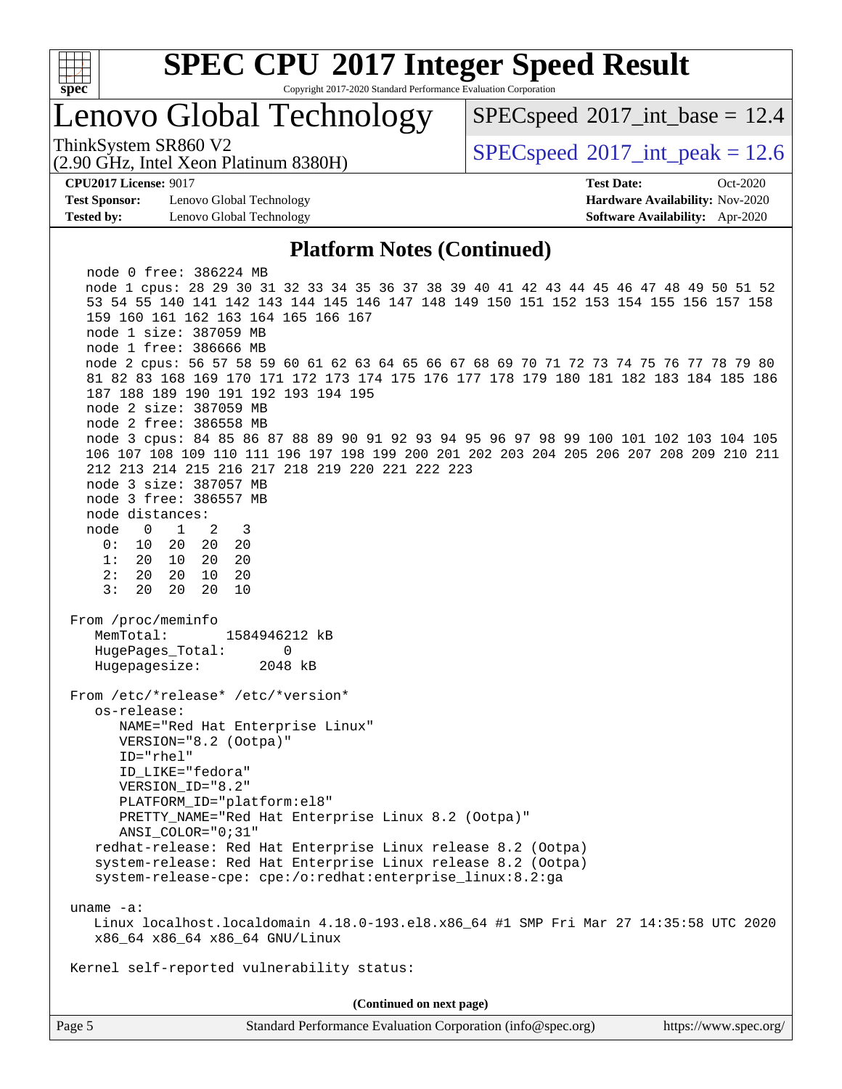

Copyright 2017-2020 Standard Performance Evaluation Corporation

## Lenovo Global Technology

 $SPECspeed^{\circ}2017\_int\_base = 12.4$  $SPECspeed^{\circ}2017\_int\_base = 12.4$ 

(2.90 GHz, Intel Xeon Platinum 8380H)

ThinkSystem SR860 V2  $\vert$  [SPECspeed](http://www.spec.org/auto/cpu2017/Docs/result-fields.html#SPECspeed2017intpeak)®[2017\\_int\\_peak = 1](http://www.spec.org/auto/cpu2017/Docs/result-fields.html#SPECspeed2017intpeak)2.6

**[Test Sponsor:](http://www.spec.org/auto/cpu2017/Docs/result-fields.html#TestSponsor)** Lenovo Global Technology **[Hardware Availability:](http://www.spec.org/auto/cpu2017/Docs/result-fields.html#HardwareAvailability)** Nov-2020 **[Tested by:](http://www.spec.org/auto/cpu2017/Docs/result-fields.html#Testedby)** Lenovo Global Technology **[Software Availability:](http://www.spec.org/auto/cpu2017/Docs/result-fields.html#SoftwareAvailability)** Apr-2020

**[CPU2017 License:](http://www.spec.org/auto/cpu2017/Docs/result-fields.html#CPU2017License)** 9017 **[Test Date:](http://www.spec.org/auto/cpu2017/Docs/result-fields.html#TestDate)** Oct-2020

### **[Platform Notes \(Continued\)](http://www.spec.org/auto/cpu2017/Docs/result-fields.html#PlatformNotes)**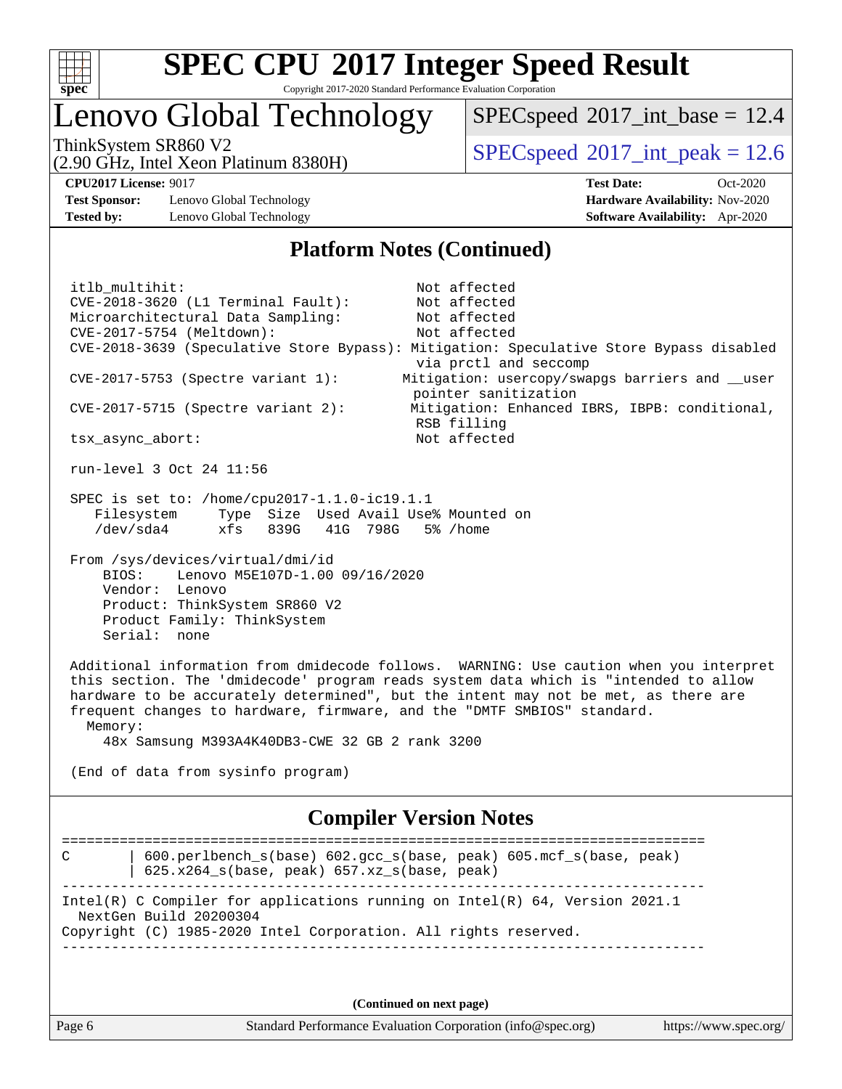

## Lenovo Global Technology

 $SPECspeed^{\circ}2017\_int\_base = 12.4$  $SPECspeed^{\circ}2017\_int\_base = 12.4$ 

(2.90 GHz, Intel Xeon Platinum 8380H)

ThinkSystem SR860 V2<br>  $\begin{array}{|l|l|}\n\hline\n\end{array}$  [SPECspeed](http://www.spec.org/auto/cpu2017/Docs/result-fields.html#SPECspeed2017intpeak)®[2017\\_int\\_peak = 1](http://www.spec.org/auto/cpu2017/Docs/result-fields.html#SPECspeed2017intpeak)2.6

**[Test Sponsor:](http://www.spec.org/auto/cpu2017/Docs/result-fields.html#TestSponsor)** Lenovo Global Technology **[Hardware Availability:](http://www.spec.org/auto/cpu2017/Docs/result-fields.html#HardwareAvailability)** Nov-2020 **[Tested by:](http://www.spec.org/auto/cpu2017/Docs/result-fields.html#Testedby)** Lenovo Global Technology **[Software Availability:](http://www.spec.org/auto/cpu2017/Docs/result-fields.html#SoftwareAvailability)** Apr-2020

**[CPU2017 License:](http://www.spec.org/auto/cpu2017/Docs/result-fields.html#CPU2017License)** 9017 **[Test Date:](http://www.spec.org/auto/cpu2017/Docs/result-fields.html#TestDate)** Oct-2020

### **[Platform Notes \(Continued\)](http://www.spec.org/auto/cpu2017/Docs/result-fields.html#PlatformNotes)**

itlb\_multihit: Not affected CVE-2018-3620 (L1 Terminal Fault): Not affected Microarchitectural Data Sampling: Not affected CVE-2017-5754 (Meltdown): Not affected CVE-2018-3639 (Speculative Store Bypass): Mitigation: Speculative Store Bypass disabled via prctl and seccomp CVE-2017-5753 (Spectre variant 1): Mitigation: usercopy/swapgs barriers and \_\_user pointer sanitization CVE-2017-5715 (Spectre variant 2): Mitigation: Enhanced IBRS, IBPB: conditional, RSB filling tsx\_async\_abort: Not affected

run-level 3 Oct 24 11:56

 SPEC is set to: /home/cpu2017-1.1.0-ic19.1.1 Filesystem Type Size Used Avail Use% Mounted on /dev/sda4 xfs 839G 41G 798G 5% /home

 From /sys/devices/virtual/dmi/id BIOS: Lenovo M5E107D-1.00 09/16/2020 Vendor: Lenovo Product: ThinkSystem SR860 V2 Product Family: ThinkSystem Serial: none

 Additional information from dmidecode follows. WARNING: Use caution when you interpret this section. The 'dmidecode' program reads system data which is "intended to allow hardware to be accurately determined", but the intent may not be met, as there are frequent changes to hardware, firmware, and the "DMTF SMBIOS" standard. Memory:

48x Samsung M393A4K40DB3-CWE 32 GB 2 rank 3200

(End of data from sysinfo program)

### **[Compiler Version Notes](http://www.spec.org/auto/cpu2017/Docs/result-fields.html#CompilerVersionNotes)**

============================================================================== C | 600.perlbench\_s(base) 602.gcc\_s(base, peak) 605.mcf\_s(base, peak) | 625.x264\_s(base, peak) 657.xz\_s(base, peak) ------------------------------------------------------------------------------ Intel(R) C Compiler for applications running on Intel(R) 64, Version 2021.1 NextGen Build 20200304 Copyright (C) 1985-2020 Intel Corporation. All rights reserved. ------------------------------------------------------------------------------

**(Continued on next page)**

Page 6 Standard Performance Evaluation Corporation [\(info@spec.org\)](mailto:info@spec.org) <https://www.spec.org/>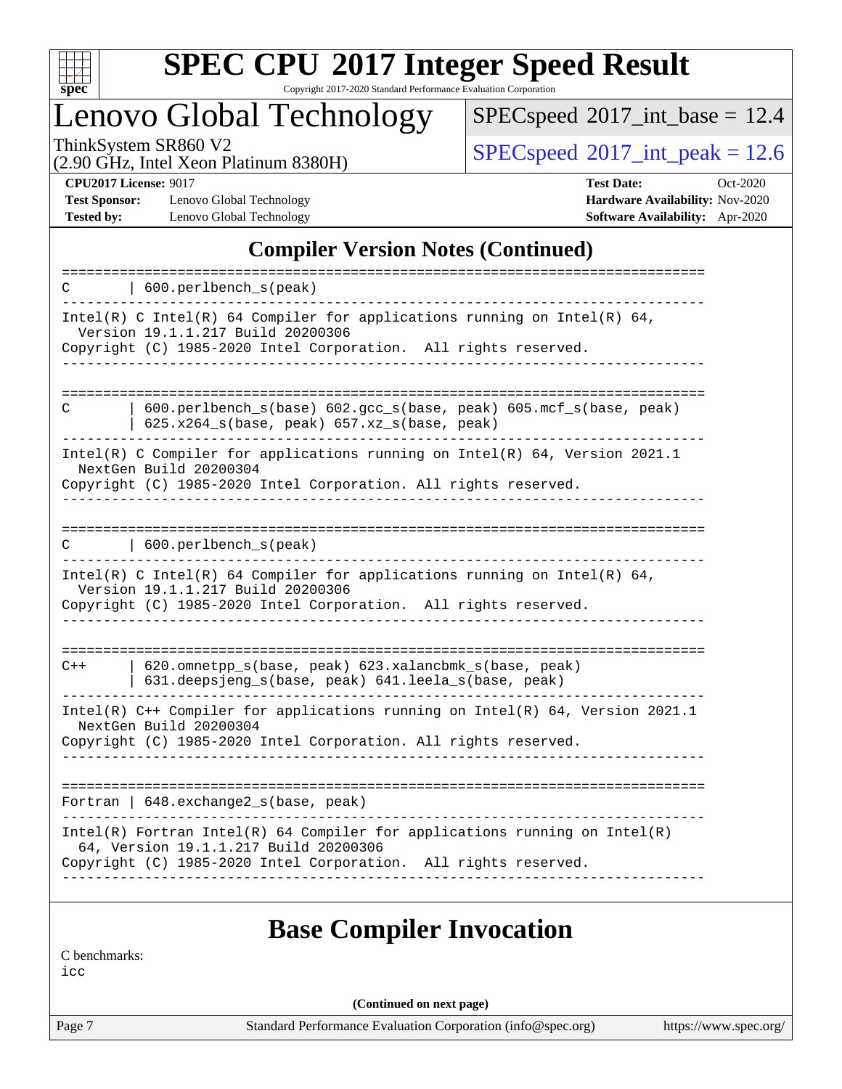

Copyright 2017-2020 Standard Performance Evaluation Corporation

Lenovo Global Technology

 $SPEC speed$ <sup>®</sup> $2017$ \_int\_base = 12.4

(2.90 GHz, Intel Xeon Platinum 8380H)

ThinkSystem SR860 V2<br>  $\begin{array}{c}\n\text{SPEC speed} \textcirc 2017\_int\_peak = 12.6 \\
\text{SPEC speed} \textcirc 2017\_int\_peak = 12.6\n\end{array}$ 

**[Test Sponsor:](http://www.spec.org/auto/cpu2017/Docs/result-fields.html#TestSponsor)** Lenovo Global Technology **[Hardware Availability:](http://www.spec.org/auto/cpu2017/Docs/result-fields.html#HardwareAvailability)** Nov-2020 **[Tested by:](http://www.spec.org/auto/cpu2017/Docs/result-fields.html#Testedby)** Lenovo Global Technology **[Software Availability:](http://www.spec.org/auto/cpu2017/Docs/result-fields.html#SoftwareAvailability)** Apr-2020

**[CPU2017 License:](http://www.spec.org/auto/cpu2017/Docs/result-fields.html#CPU2017License)** 9017 **[Test Date:](http://www.spec.org/auto/cpu2017/Docs/result-fields.html#TestDate)** Oct-2020

### **[Compiler Version Notes \(Continued\)](http://www.spec.org/auto/cpu2017/Docs/result-fields.html#CompilerVersionNotes)**

| 600.perlbench_s(peak)<br>C                                                                                                                                                               |
|------------------------------------------------------------------------------------------------------------------------------------------------------------------------------------------|
| Intel(R) C Intel(R) 64 Compiler for applications running on Intel(R) 64,<br>Version 19.1.1.217 Build 20200306<br>Copyright (C) 1985-2020 Intel Corporation. All rights reserved.         |
|                                                                                                                                                                                          |
| $600. perlbench_s(base) 602. gcc_s(base, peak) 605. mcf_s(base, peak)$<br>C<br>625.x264_s(base, peak) 657.xz_s(base, peak)                                                               |
| Intel(R) C Compiler for applications running on Intel(R) 64, Version 2021.1<br>NextGen Build 20200304<br>Copyright (C) 1985-2020 Intel Corporation. All rights reserved.                 |
| 600.perlbench_s(peak)<br>C                                                                                                                                                               |
| Intel(R) C Intel(R) 64 Compiler for applications running on Intel(R) 64,<br>Version 19.1.1.217 Build 20200306<br>Copyright (C) 1985-2020 Intel Corporation. All rights reserved.         |
| 620.omnetpp_s(base, peak) 623.xalancbmk_s(base, peak)<br>$C++$<br>631.deepsjeng_s(base, peak) 641.leela_s(base, peak)                                                                    |
| Intel(R) C++ Compiler for applications running on Intel(R) 64, Version 2021.1<br>NextGen Build 20200304<br>Copyright (C) 1985-2020 Intel Corporation. All rights reserved.               |
| Fortran   648.exchange2_s(base, peak)                                                                                                                                                    |
| $Intel(R)$ Fortran Intel(R) 64 Compiler for applications running on Intel(R)<br>64, Version 19.1.1.217 Build 20200306<br>Copyright (C) 1985-2020 Intel Corporation. All rights reserved. |
|                                                                                                                                                                                          |

### **[Base Compiler Invocation](http://www.spec.org/auto/cpu2017/Docs/result-fields.html#BaseCompilerInvocation)**

[C benchmarks:](http://www.spec.org/auto/cpu2017/Docs/result-fields.html#Cbenchmarks)

[icc](http://www.spec.org/cpu2017/results/res2020q4/cpu2017-20201026-24281.flags.html#user_CCbase_intel_icc_66fc1ee009f7361af1fbd72ca7dcefbb700085f36577c54f309893dd4ec40d12360134090235512931783d35fd58c0460139e722d5067c5574d8eaf2b3e37e92)

**(Continued on next page)**

Page 7 Standard Performance Evaluation Corporation [\(info@spec.org\)](mailto:info@spec.org) <https://www.spec.org/>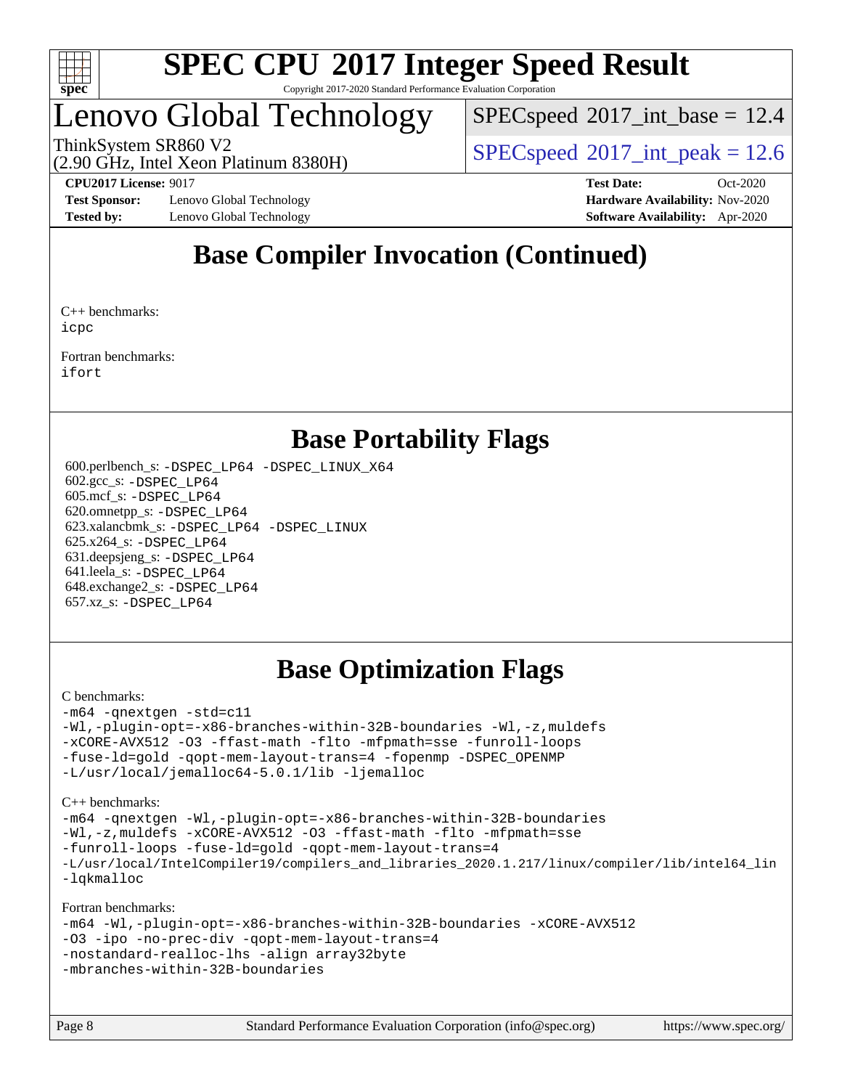

## Lenovo Global Technology

 $SPECspeed^{\circ}2017\_int\_base = 12.4$  $SPECspeed^{\circ}2017\_int\_base = 12.4$ 

(2.90 GHz, Intel Xeon Platinum 8380H)

ThinkSystem SR860 V2  $\vert$  [SPECspeed](http://www.spec.org/auto/cpu2017/Docs/result-fields.html#SPECspeed2017intpeak)®[2017\\_int\\_peak = 1](http://www.spec.org/auto/cpu2017/Docs/result-fields.html#SPECspeed2017intpeak)2.6

**[Test Sponsor:](http://www.spec.org/auto/cpu2017/Docs/result-fields.html#TestSponsor)** Lenovo Global Technology **[Hardware Availability:](http://www.spec.org/auto/cpu2017/Docs/result-fields.html#HardwareAvailability)** Nov-2020 **[Tested by:](http://www.spec.org/auto/cpu2017/Docs/result-fields.html#Testedby)** Lenovo Global Technology **[Software Availability:](http://www.spec.org/auto/cpu2017/Docs/result-fields.html#SoftwareAvailability)** Apr-2020

**[CPU2017 License:](http://www.spec.org/auto/cpu2017/Docs/result-fields.html#CPU2017License)** 9017 **[Test Date:](http://www.spec.org/auto/cpu2017/Docs/result-fields.html#TestDate)** Oct-2020

## **[Base Compiler Invocation \(Continued\)](http://www.spec.org/auto/cpu2017/Docs/result-fields.html#BaseCompilerInvocation)**

[C++ benchmarks](http://www.spec.org/auto/cpu2017/Docs/result-fields.html#CXXbenchmarks): [icpc](http://www.spec.org/cpu2017/results/res2020q4/cpu2017-20201026-24281.flags.html#user_CXXbase_intel_icpc_c510b6838c7f56d33e37e94d029a35b4a7bccf4766a728ee175e80a419847e808290a9b78be685c44ab727ea267ec2f070ec5dc83b407c0218cded6866a35d07)

[Fortran benchmarks](http://www.spec.org/auto/cpu2017/Docs/result-fields.html#Fortranbenchmarks): [ifort](http://www.spec.org/cpu2017/results/res2020q4/cpu2017-20201026-24281.flags.html#user_FCbase_intel_ifort_8111460550e3ca792625aed983ce982f94888b8b503583aa7ba2b8303487b4d8a21a13e7191a45c5fd58ff318f48f9492884d4413fa793fd88dd292cad7027ca)

### **[Base Portability Flags](http://www.spec.org/auto/cpu2017/Docs/result-fields.html#BasePortabilityFlags)**

 600.perlbench\_s: [-DSPEC\\_LP64](http://www.spec.org/cpu2017/results/res2020q4/cpu2017-20201026-24281.flags.html#b600.perlbench_s_basePORTABILITY_DSPEC_LP64) [-DSPEC\\_LINUX\\_X64](http://www.spec.org/cpu2017/results/res2020q4/cpu2017-20201026-24281.flags.html#b600.perlbench_s_baseCPORTABILITY_DSPEC_LINUX_X64) 602.gcc\_s: [-DSPEC\\_LP64](http://www.spec.org/cpu2017/results/res2020q4/cpu2017-20201026-24281.flags.html#suite_basePORTABILITY602_gcc_s_DSPEC_LP64) 605.mcf\_s: [-DSPEC\\_LP64](http://www.spec.org/cpu2017/results/res2020q4/cpu2017-20201026-24281.flags.html#suite_basePORTABILITY605_mcf_s_DSPEC_LP64) 620.omnetpp\_s: [-DSPEC\\_LP64](http://www.spec.org/cpu2017/results/res2020q4/cpu2017-20201026-24281.flags.html#suite_basePORTABILITY620_omnetpp_s_DSPEC_LP64) 623.xalancbmk\_s: [-DSPEC\\_LP64](http://www.spec.org/cpu2017/results/res2020q4/cpu2017-20201026-24281.flags.html#suite_basePORTABILITY623_xalancbmk_s_DSPEC_LP64) [-DSPEC\\_LINUX](http://www.spec.org/cpu2017/results/res2020q4/cpu2017-20201026-24281.flags.html#b623.xalancbmk_s_baseCXXPORTABILITY_DSPEC_LINUX) 625.x264\_s: [-DSPEC\\_LP64](http://www.spec.org/cpu2017/results/res2020q4/cpu2017-20201026-24281.flags.html#suite_basePORTABILITY625_x264_s_DSPEC_LP64) 631.deepsjeng\_s: [-DSPEC\\_LP64](http://www.spec.org/cpu2017/results/res2020q4/cpu2017-20201026-24281.flags.html#suite_basePORTABILITY631_deepsjeng_s_DSPEC_LP64) 641.leela\_s: [-DSPEC\\_LP64](http://www.spec.org/cpu2017/results/res2020q4/cpu2017-20201026-24281.flags.html#suite_basePORTABILITY641_leela_s_DSPEC_LP64) 648.exchange2\_s: [-DSPEC\\_LP64](http://www.spec.org/cpu2017/results/res2020q4/cpu2017-20201026-24281.flags.html#suite_basePORTABILITY648_exchange2_s_DSPEC_LP64) 657.xz\_s: [-DSPEC\\_LP64](http://www.spec.org/cpu2017/results/res2020q4/cpu2017-20201026-24281.flags.html#suite_basePORTABILITY657_xz_s_DSPEC_LP64)

## **[Base Optimization Flags](http://www.spec.org/auto/cpu2017/Docs/result-fields.html#BaseOptimizationFlags)**

#### [C benchmarks](http://www.spec.org/auto/cpu2017/Docs/result-fields.html#Cbenchmarks):

```
-m64 -qnextgen -std=c11
-Wl,-plugin-opt=-x86-branches-within-32B-boundaries -Wl,-z,muldefs
-xCORE-AVX512 -O3 -ffast-math -flto -mfpmath=sse -funroll-loops
-fuse-ld=gold -qopt-mem-layout-trans=4 -fopenmp -DSPEC_OPENMP
-L/usr/local/jemalloc64-5.0.1/lib -ljemalloc
```
[C++ benchmarks:](http://www.spec.org/auto/cpu2017/Docs/result-fields.html#CXXbenchmarks)

```
-m64 -qnextgen -Wl,-plugin-opt=-x86-branches-within-32B-boundaries
-Wl,-z,muldefs -xCORE-AVX512 -O3 -ffast-math -flto -mfpmath=sse
-funroll-loops -fuse-ld=gold -qopt-mem-layout-trans=4
-L/usr/local/IntelCompiler19/compilers_and_libraries_2020.1.217/linux/compiler/lib/intel64_lin
-lqkmalloc
```
[Fortran benchmarks:](http://www.spec.org/auto/cpu2017/Docs/result-fields.html#Fortranbenchmarks)

```
-m64 -Wl,-plugin-opt=-x86-branches-within-32B-boundaries -xCORE-AVX512
-O3 -ipo -no-prec-div -qopt-mem-layout-trans=4
-nostandard-realloc-lhs -align array32byte
-mbranches-within-32B-boundaries
```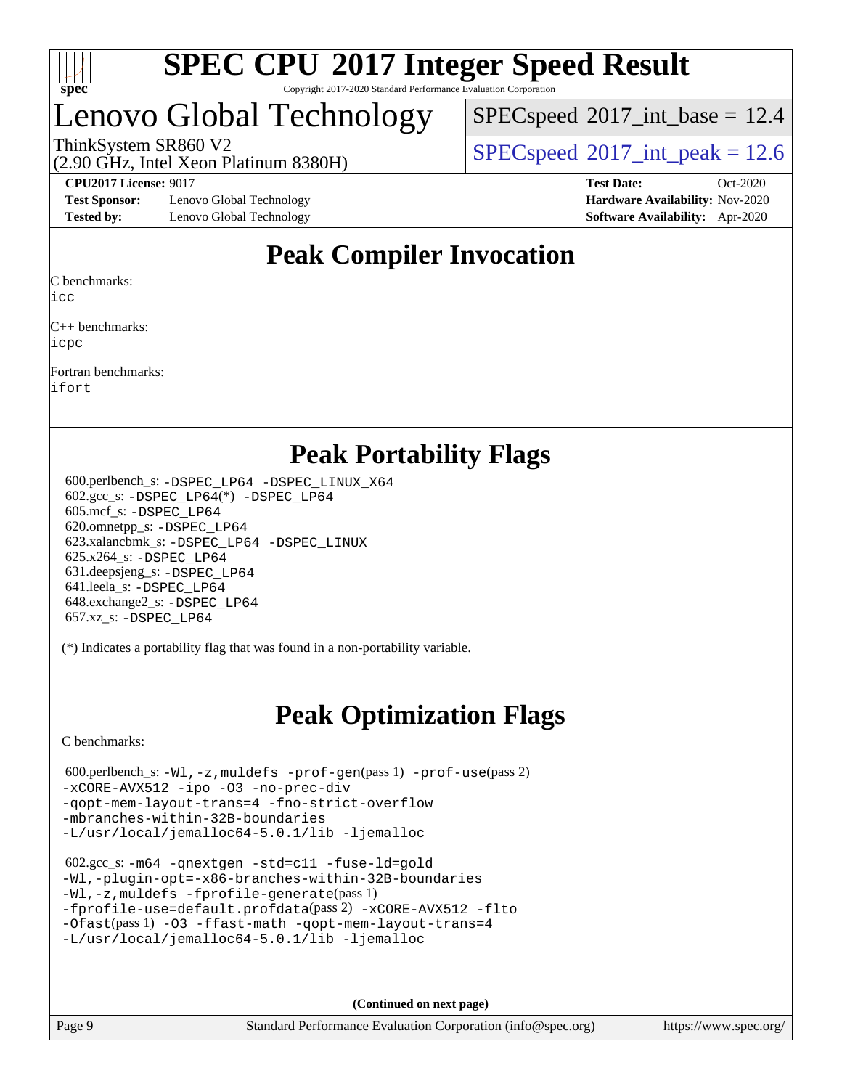

## Lenovo Global Technology

 $SPECspeed^{\circ}2017\_int\_base = 12.4$  $SPECspeed^{\circ}2017\_int\_base = 12.4$ 

(2.90 GHz, Intel Xeon Platinum 8380H)

ThinkSystem SR860 V2  $\vert$  [SPECspeed](http://www.spec.org/auto/cpu2017/Docs/result-fields.html#SPECspeed2017intpeak)®[2017\\_int\\_peak = 1](http://www.spec.org/auto/cpu2017/Docs/result-fields.html#SPECspeed2017intpeak)2.6

**[Test Sponsor:](http://www.spec.org/auto/cpu2017/Docs/result-fields.html#TestSponsor)** Lenovo Global Technology **[Hardware Availability:](http://www.spec.org/auto/cpu2017/Docs/result-fields.html#HardwareAvailability)** Nov-2020 **[Tested by:](http://www.spec.org/auto/cpu2017/Docs/result-fields.html#Testedby)** Lenovo Global Technology **[Software Availability:](http://www.spec.org/auto/cpu2017/Docs/result-fields.html#SoftwareAvailability)** Apr-2020

**[CPU2017 License:](http://www.spec.org/auto/cpu2017/Docs/result-fields.html#CPU2017License)** 9017 **[Test Date:](http://www.spec.org/auto/cpu2017/Docs/result-fields.html#TestDate)** Oct-2020

## **[Peak Compiler Invocation](http://www.spec.org/auto/cpu2017/Docs/result-fields.html#PeakCompilerInvocation)**

[C benchmarks:](http://www.spec.org/auto/cpu2017/Docs/result-fields.html#Cbenchmarks)

[icc](http://www.spec.org/cpu2017/results/res2020q4/cpu2017-20201026-24281.flags.html#user_CCpeak_intel_icc_66fc1ee009f7361af1fbd72ca7dcefbb700085f36577c54f309893dd4ec40d12360134090235512931783d35fd58c0460139e722d5067c5574d8eaf2b3e37e92)

[C++ benchmarks](http://www.spec.org/auto/cpu2017/Docs/result-fields.html#CXXbenchmarks): [icpc](http://www.spec.org/cpu2017/results/res2020q4/cpu2017-20201026-24281.flags.html#user_CXXpeak_intel_icpc_c510b6838c7f56d33e37e94d029a35b4a7bccf4766a728ee175e80a419847e808290a9b78be685c44ab727ea267ec2f070ec5dc83b407c0218cded6866a35d07)

[Fortran benchmarks:](http://www.spec.org/auto/cpu2017/Docs/result-fields.html#Fortranbenchmarks)

[ifort](http://www.spec.org/cpu2017/results/res2020q4/cpu2017-20201026-24281.flags.html#user_FCpeak_intel_ifort_8111460550e3ca792625aed983ce982f94888b8b503583aa7ba2b8303487b4d8a21a13e7191a45c5fd58ff318f48f9492884d4413fa793fd88dd292cad7027ca)

### **[Peak Portability Flags](http://www.spec.org/auto/cpu2017/Docs/result-fields.html#PeakPortabilityFlags)**

 600.perlbench\_s: [-DSPEC\\_LP64](http://www.spec.org/cpu2017/results/res2020q4/cpu2017-20201026-24281.flags.html#b600.perlbench_s_peakPORTABILITY_DSPEC_LP64) [-DSPEC\\_LINUX\\_X64](http://www.spec.org/cpu2017/results/res2020q4/cpu2017-20201026-24281.flags.html#b600.perlbench_s_peakCPORTABILITY_DSPEC_LINUX_X64) 602.gcc\_s: [-DSPEC\\_LP64](http://www.spec.org/cpu2017/results/res2020q4/cpu2017-20201026-24281.flags.html#suite_peakCCLD602_gcc_s_DSPEC_LP64)(\*) [-DSPEC\\_LP64](http://www.spec.org/cpu2017/results/res2020q4/cpu2017-20201026-24281.flags.html#suite_peakPORTABILITY602_gcc_s_DSPEC_LP64) 605.mcf\_s: [-DSPEC\\_LP64](http://www.spec.org/cpu2017/results/res2020q4/cpu2017-20201026-24281.flags.html#suite_peakPORTABILITY605_mcf_s_DSPEC_LP64) 620.omnetpp\_s: [-DSPEC\\_LP64](http://www.spec.org/cpu2017/results/res2020q4/cpu2017-20201026-24281.flags.html#suite_peakPORTABILITY620_omnetpp_s_DSPEC_LP64) 623.xalancbmk\_s: [-DSPEC\\_LP64](http://www.spec.org/cpu2017/results/res2020q4/cpu2017-20201026-24281.flags.html#suite_peakPORTABILITY623_xalancbmk_s_DSPEC_LP64) [-DSPEC\\_LINUX](http://www.spec.org/cpu2017/results/res2020q4/cpu2017-20201026-24281.flags.html#b623.xalancbmk_s_peakCXXPORTABILITY_DSPEC_LINUX) 625.x264\_s: [-DSPEC\\_LP64](http://www.spec.org/cpu2017/results/res2020q4/cpu2017-20201026-24281.flags.html#suite_peakPORTABILITY625_x264_s_DSPEC_LP64) 631.deepsjeng\_s: [-DSPEC\\_LP64](http://www.spec.org/cpu2017/results/res2020q4/cpu2017-20201026-24281.flags.html#suite_peakPORTABILITY631_deepsjeng_s_DSPEC_LP64) 641.leela\_s: [-DSPEC\\_LP64](http://www.spec.org/cpu2017/results/res2020q4/cpu2017-20201026-24281.flags.html#suite_peakPORTABILITY641_leela_s_DSPEC_LP64) 648.exchange2\_s: [-DSPEC\\_LP64](http://www.spec.org/cpu2017/results/res2020q4/cpu2017-20201026-24281.flags.html#suite_peakPORTABILITY648_exchange2_s_DSPEC_LP64) 657.xz\_s: [-DSPEC\\_LP64](http://www.spec.org/cpu2017/results/res2020q4/cpu2017-20201026-24281.flags.html#suite_peakPORTABILITY657_xz_s_DSPEC_LP64)

(\*) Indicates a portability flag that was found in a non-portability variable.

## **[Peak Optimization Flags](http://www.spec.org/auto/cpu2017/Docs/result-fields.html#PeakOptimizationFlags)**

[C benchmarks](http://www.spec.org/auto/cpu2017/Docs/result-fields.html#Cbenchmarks):

```
 600.perlbench_s: -Wl,-z,muldefs -prof-gen(pass 1) -prof-use(pass 2)
-xCORE-AVX512 -ipo -O3 -no-prec-div
-qopt-mem-layout-trans=4 -fno-strict-overflow
-mbranches-within-32B-boundaries
-L/usr/local/jemalloc64-5.0.1/lib -ljemalloc
```

```
 602.gcc_s: -m64 -qnextgen -std=c11 -fuse-ld=gold
-Wl,-plugin-opt=-x86-branches-within-32B-boundaries
-Wl,-z,muldefs -fprofile-generate(pass 1)
-fprofile-use=default.profdata(pass 2) -xCORE-AVX512 -flto
-Ofast(pass 1) -O3 -ffast-math -qopt-mem-layout-trans=4
-L/usr/local/jemalloc64-5.0.1/lib -ljemalloc
```
**(Continued on next page)**